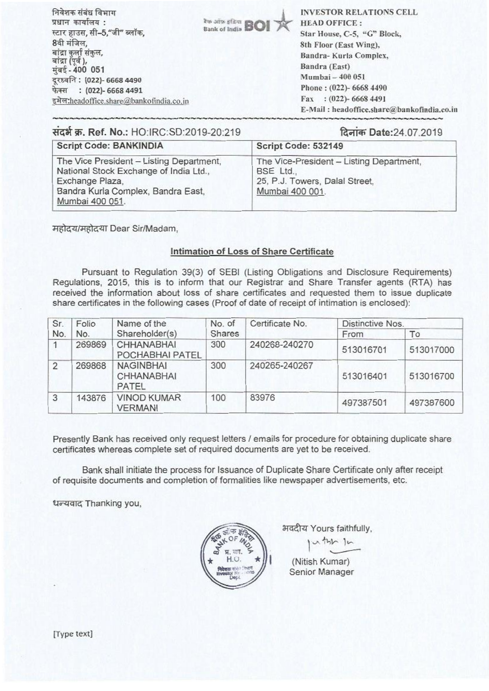| निवेशक संबंध विभाग                             | <b>Rus airs of Arm BOI TX</b> | <b>INVESTOR RELATIONS CELL</b>             |
|------------------------------------------------|-------------------------------|--------------------------------------------|
| प्रधान कार्यालय :                              |                               | <b>HEAD OFFICE:</b>                        |
| स्टार हाउस, सी-5,"जी" ब्लॉक,                   |                               | Star House, C-5, "G" Block,                |
| 8वी मंजिल,                                     |                               | 8th Floor (East Wing),                     |
| बांद्रा कुर्ला संकुल,<br>बांद्रा (पूर्व ),     |                               | Bandra-Kurla Complex,                      |
| मुंबई - 400 051<br>दूरध्वनि : (022)- 6668 4490 |                               | Bandra (East)                              |
|                                                |                               | Mumbai - 400 051                           |
| फेक्स: (022)- 6668 4491                        |                               | Phone: (022)- 6668 4490                    |
| इमेल:headoffice.share@bankofindia.co.in        |                               | $: (022)$ - 6668 4491<br>Fax               |
|                                                |                               | E-Mail: headoffice.share@bankofindia.co.in |

| संदर्भ क्र. Ref. No.: HO:IRC:SD:2019-20:219                                                                                                                    | दिनांक Date: 24.07.2019                                                                                    |  |  |
|----------------------------------------------------------------------------------------------------------------------------------------------------------------|------------------------------------------------------------------------------------------------------------|--|--|
| <b>Script Code: BANKINDIA</b>                                                                                                                                  | Script Code: 532149                                                                                        |  |  |
| The Vice President - Listing Department,<br>National Stock Exchange of India Ltd.,<br>Exchange Plaza,<br>Bandra Kurla Complex, Bandra East,<br>Mumbai 400 051. | The Vice-President - Listing Department,<br>BSE Ltd.,<br>25, P.J. Towers, Dalal Street,<br>Mumbai 400 001. |  |  |

महोदय/महोदया Dear Sir/Madam,

## Intimation of Loss of Share Certificate

Pursuant to Regulation 39(3) of SEBI (Listing Obligations and Disclosure Requirements) Regulations, 2015, this is to inform that our Registrar and Share Transfer agents (RTA) has received the information about loss of share certificates and requested them to issue duplicate share certificates in the following cases (Proof of date of receipt of intimation is enclosed):

| Sr.<br>No.     | Folio<br>No. | Name of the<br>Shareholder(s)                  | No. of<br><b>Shares</b> | Certificate No. | Distinctive Nos. |           |
|----------------|--------------|------------------------------------------------|-------------------------|-----------------|------------------|-----------|
|                |              |                                                |                         |                 | From             | To        |
|                | 269869       | <b>CHHANABHAI</b><br>POCHABHAI PATEL           | 300                     | 240268-240270   | 513016701        | 513017000 |
| $\overline{2}$ | 269868       | <b>NAGINBHAI</b><br><b>CHHANABHAI</b><br>PATEL | 300                     | 240265-240267   | 513016401        | 513016700 |
| 3              | 143876       | <b>VINOD KUMAR</b><br><b>VERMANI</b>           | 100                     | 83976           | 497387501        | 497387600 |

Presently Bank has received only request letters / emails for procedure for obtaining duplicate share certificates whereas complete set of required documents are yet to be received.

Bank shall initiate the process for Issuance of Duplicate Share Certificate only after receipt of requisite documents and completion of formalities like newspaper advertisements, etc.

धन्यवाद Thanking you,



भवदीय Yours faithfully,

thy-

I (Nitish Kumar) Senior Manager

(Type text]